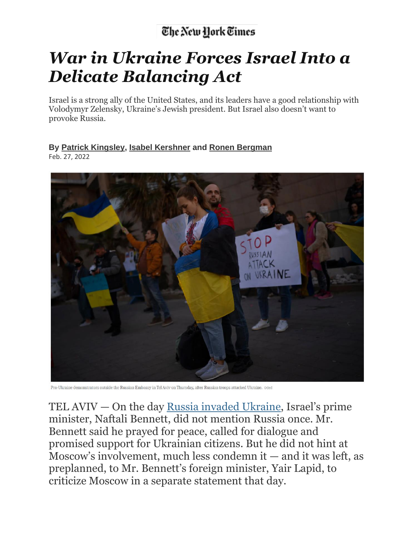## The New York Times

## *War in Ukraine Forces Israel Into a Delicate Balancing Act*

Israel is a strong ally of the United States, and its leaders have a good relationship with Volodymyr Zelensky, Ukraine's Jewish president. But Israel also doesn't want to provoke Russia.

## **By Patrick [Kingsley,](https://www.nytimes.com/by/patrick-kingsley) Isabel [Kershner](https://www.nytimes.com/by/isabel-kershner) and Ronen [Bergman](https://www.nytimes.com/by/ronen-bergman)**

Feb. 27, 2022



Pro-Ukraine demonstrators outside the Russian Embassy in Tel Aviv on Thursday, after Russian troops attacked Ukraine. Oded

TEL AVIV — On the day Russia invaded [Ukraine](https://www.nytimes.com/news-event/ukraine-russia), Israel's prime minister, Naftali Bennett, did not mention Russia once. Mr. Bennett said he prayed for peace, called for dialogue and promised support for Ukrainian citizens. But he did not hint at Moscow's involvement, much less condemn it — and it was left, as preplanned, to Mr. Bennett's foreign minister, Yair Lapid, to criticize Moscow in a separate statement that day.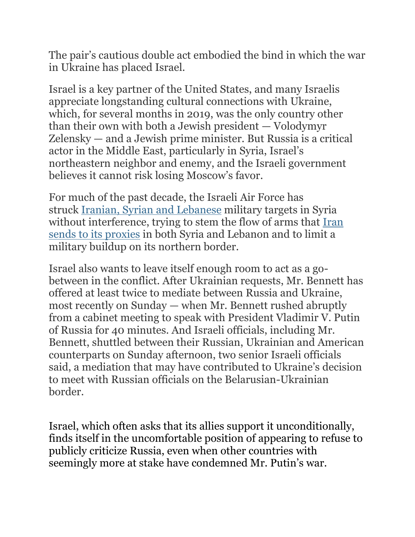The pair's cautious double act embodied the bind in which the war in Ukraine has placed Israel.

Israel is a key partner of the United States, and many Israelis appreciate longstanding cultural connections with Ukraine, which, for several months in 2019, was the only country other than their own with both a Jewish president — Volodymyr Zelensky — and a Jewish prime minister. But Russia is a critical actor in the Middle East, particularly in Syria, Israel's northeastern neighbor and enemy, and the Israeli government believes it cannot risk losing Moscow's favor.

For much of the past decade, the Israeli Air Force has struck Iranian, Syrian and [Lebanese](https://www.nytimes.com/2019/08/28/world/middleeast/israel-iran-shadow-war.html) military targets in Syria without interference, trying to stem the flow of arms that [Iran](https://www.nytimes.com/2019/08/22/world/middleeast/israel-iraq-iran-airstrike.html) sends to its [proxies](https://www.nytimes.com/2019/08/22/world/middleeast/israel-iraq-iran-airstrike.html) in both Syria and Lebanon and to limit a military buildup on its northern border.

Israel also wants to leave itself enough room to act as a gobetween in the conflict. After Ukrainian requests, Mr. Bennett has offered at least twice to mediate between Russia and Ukraine, most recently on Sunday — when Mr. Bennett rushed abruptly from a cabinet meeting to speak with President Vladimir V. Putin of Russia for 40 minutes. And Israeli officials, including Mr. Bennett, shuttled between their Russian, Ukrainian and American counterparts on Sunday afternoon, two senior Israeli officials said, a mediation that may have contributed to Ukraine's decision to meet with Russian officials on the Belarusian-Ukrainian border.

Israel, which often asks that its allies support it unconditionally, finds itself in the uncomfortable position of appearing to refuse to publicly criticize Russia, even when other countries with seemingly more at stake have condemned Mr. Putin's war.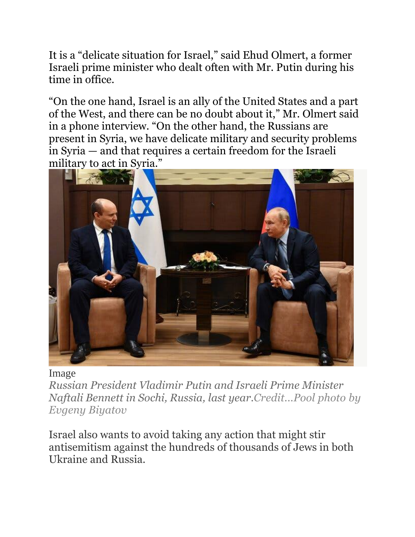It is a "delicate situation for Israel," said Ehud Olmert, a former Israeli prime minister who dealt often with Mr. Putin during his time in office.

"On the one hand, Israel is an ally of the United States and a part of the West, and there can be no doubt about it," Mr. Olmert said in a phone interview. "On the other hand, the Russians are present in Syria, we have delicate military and security problems in Syria — and that requires a certain freedom for the Israeli military to act in Syria."



## Image

*Russian President Vladimir Putin and Israeli Prime Minister Naftali Bennett in Sochi, Russia, last year.Credit...Pool photo by Evgeny Biyatov*

Israel also wants to avoid taking any action that might stir antisemitism against the hundreds of thousands of Jews in both Ukraine and Russia.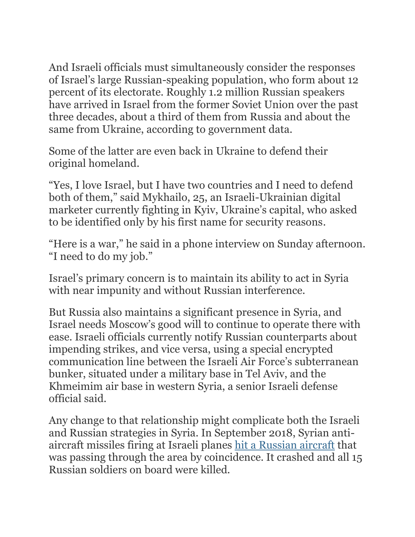And Israeli officials must simultaneously consider the responses of Israel's large Russian-speaking population, who form about 12 percent of its electorate. Roughly 1.2 million Russian speakers have arrived in Israel from the former Soviet Union over the past three decades, about a third of them from Russia and about the same from Ukraine, according to government data.

Some of the latter are even back in Ukraine to defend their original homeland.

"Yes, I love Israel, but I have two countries and I need to defend both of them," said Mykhailo, 25, an Israeli-Ukrainian digital marketer currently fighting in Kyiv, Ukraine's capital, who asked to be identified only by his first name for security reasons.

"Here is a war," he said in a phone interview on Sunday afternoon. "I need to do my job."

Israel's primary concern is to maintain its ability to act in Syria with near impunity and without Russian interference.

But Russia also maintains a significant presence in Syria, and Israel needs Moscow's good will to continue to operate there with ease. Israeli officials currently notify Russian counterparts about impending strikes, and vice versa, using a special encrypted communication line between the Israeli Air Force's subterranean bunker, situated under a military base in Tel Aviv, and the Khmeimim air base in western Syria, a senior Israeli defense official said.

Any change to that relationship might complicate both the Israeli and Russian strategies in Syria. In September 2018, Syrian antiaircraft missiles firing at Israeli planes hit a [Russian](https://www.nytimes.com/2018/09/18/world/middleeast/syria-russian-plane.html) aircraft that was passing through the area by coincidence. It crashed and all 15 Russian soldiers on board were killed.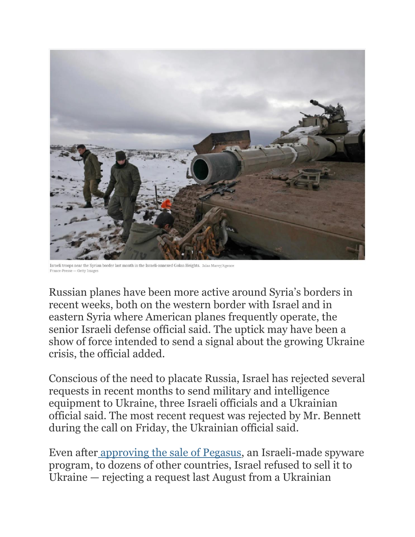

Israeli troops near the Syrian border last month in the Israeli-annexed Golan Heights, Jalaa Marey/Agen rance-Presse — Getty Images

Russian planes have been more active around Syria's borders in recent weeks, both on the western border with Israel and in eastern Syria where American planes frequently operate, the senior Israeli defense official said. The uptick may have been a show of force intended to send a signal about the growing Ukraine crisis, the official added.

Conscious of the need to placate Russia, Israel has rejected several requests in recent months to send military and intelligence equipment to Ukraine, three Israeli officials and a Ukrainian official said. The most recent request was rejected by Mr. Bennett during the call on Friday, the Ukrainian official said.

Even after [approving](https://www.nytimes.com/2022/01/28/magazine/nso-group-israel-spyware.html) the sale of Pegasus, an Israeli-made spyware program, to dozens of other countries, Israel refused to sell it to Ukraine — rejecting a request last August from a Ukrainian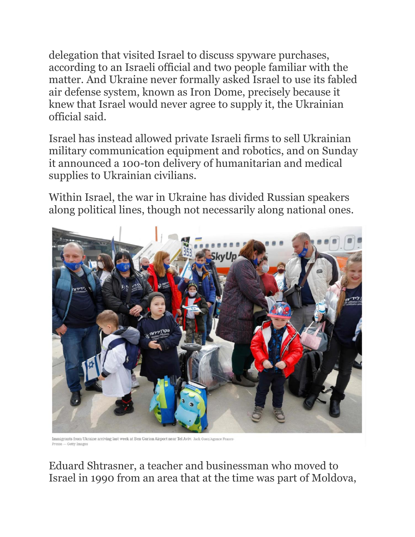delegation that visited Israel to discuss spyware purchases, according to an Israeli official and two people familiar with the matter. And Ukraine never formally asked Israel to use its fabled air defense system, known as Iron Dome, precisely because it knew that Israel would never agree to supply it, the Ukrainian official said.

Israel has instead allowed private Israeli firms to sell Ukrainian military communication equipment and robotics, and on Sunday it announced a 100-ton delivery of humanitarian and medical supplies to Ukrainian civilians.

Within Israel, the war in Ukraine has divided Russian speakers along political lines, though not necessarily along national ones.



Immigrants from Ukraine arriving last week at Ben Gurion Airport near Tel Aviv. Jack Guez/Agence Franc Presse - Getty Images

Eduard Shtrasner, a teacher and businessman who moved to Israel in 1990 from an area that at the time was part of Moldova,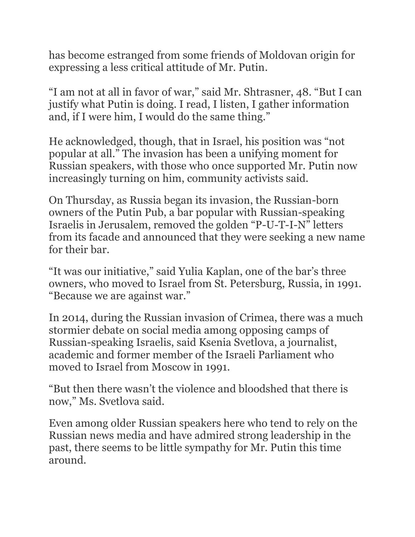has become estranged from some friends of Moldovan origin for expressing a less critical attitude of Mr. Putin.

"I am not at all in favor of war," said Mr. Shtrasner, 48. "But I can justify what Putin is doing. I read, I listen, I gather information and, if I were him, I would do the same thing."

He acknowledged, though, that in Israel, his position was "not popular at all." The invasion has been a unifying moment for Russian speakers, with those who once supported Mr. Putin now increasingly turning on him, community activists said.

On Thursday, as Russia began its invasion, the Russian-born owners of the Putin Pub, a bar popular with Russian-speaking Israelis in Jerusalem, removed the golden "P-U-T-I-N" letters from its facade and announced that they were seeking a new name for their bar.

"It was our initiative," said Yulia Kaplan, one of the bar's three owners, who moved to Israel from St. Petersburg, Russia, in 1991. "Because we are against war."

In 2014, during the Russian invasion of Crimea, there was a much stormier debate on social media among opposing camps of Russian-speaking Israelis, said Ksenia Svetlova, a journalist, academic and former member of the Israeli Parliament who moved to Israel from Moscow in 1991.

"But then there wasn't the violence and bloodshed that there is now," Ms. Svetlova said.

Even among older Russian speakers here who tend to rely on the Russian news media and have admired strong leadership in the past, there seems to be little sympathy for Mr. Putin this time around.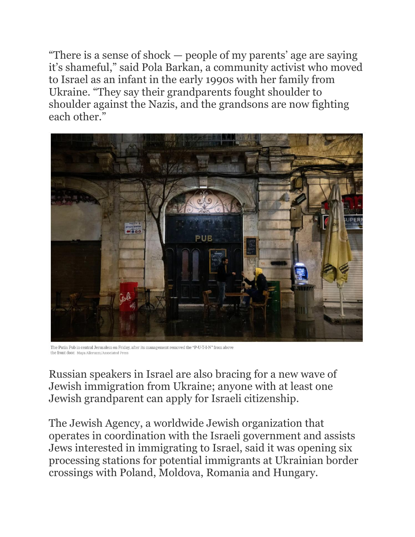"There is a sense of shock — people of my parents' age are saying it's shameful," said Pola Barkan, a community activist who moved to Israel as an infant in the early 1990s with her family from Ukraine. "They say their grandparents fought shoulder to shoulder against the Nazis, and the grandsons are now fighting each other."



The Putin Pub in central Jerusalem on Friday, after its management removed the "P-U-T-I-N" from above the front door. Maya Alleruzzo/Associated Pres-

Russian speakers in Israel are also bracing for a new wave of Jewish immigration from Ukraine; anyone with at least one Jewish grandparent can apply for Israeli citizenship.

The Jewish Agency, a worldwide Jewish organization that operates in coordination with the Israeli government and assists Jews interested in immigrating to Israel, said it was opening six processing stations for potential immigrants at Ukrainian border crossings with Poland, Moldova, Romania and Hungary.